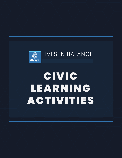

# CIVIC LEARNING ACTIVITIES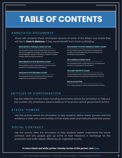## **TABLE OF CONTENTS**

#### ANNOTATED DOCUMENTS

[Share with students these annotated versions of some of the letters and charts they](#page-2-0)  will see in *Lives in Balance*, if they would benefit from more scaffolding.

#### **[NEW MEXICO FEDERAL FUNDS LETTER](#page-2-0)**

The annotated version of the fictional letter from the U.S. Office of Management & Budget to the New Mexico Governor, acknowledging a request for funding to support the state's medical needs during the pandemic.

#### **[NEW MEXICO STATE REVENUE CHART](#page-3-0)**

The annotated version of New Mexico's fictional revenue projections, as impacted by the pandemic.

#### **[ARIZONA STATE REVENUE CHART](#page-4-0)**

The annotated version of Arizona's fictional revenue projections, as impacted by the pandemic.

#### **[SOUTHWEST STATES UNEMPLOYMENT CHART](#page-5-0)**

The annotated version of the fictional unemployment numbers across the states that form the Coalition, as impacted by the pandemic.

#### **USA UNEMPLOYMENT RATE**

[The annotated version of the fictional U.S. unemployment](#page-6-0)  numbers, as impacted by the pandemic.

#### **USA GDP GROWTH CHART**

The annotated version of the fictional graph that shows [how the pandemic is projected to impact GDP in the U.S.](#page-7-0)

#### **NAVAJO NATION**

[A U.S. map showing an overlay of Navajo Nation territory.](#page-8-0)

## ARTICLES OF CONFEDERATION

[Use this reflection on two major founding documents before the simulation to help put](#page-9-0)  into context why Americans value a balance of local and central government control.

### STATES' POWERS

[Use this activity before the simulation to help students define states' powers and find](#page-12-0)  evidence in their own communities of how states exert and institutionalize their power.

### SOCIAL CONTRACT

[Use this activity after the simulation to help students better understand the social](#page-14-0)  contract, and why people give up some of their freedoms in exchange for the protection and order ideally offered by an organized society.

**To view a black and white, printer-friendly version of this packet, clic[k here.](https://ithrivegames.org/wp-content/uploads/2021/03/LIB-Civics-Activities-PF.pdf)**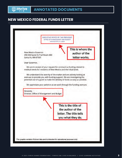## <span id="page-2-0"></span>**NEW MEXICO FEDERAL FUNDS LETTER**

| <b>New Mexico Governor</b><br>490 Old Sante Fe Trail Room 400<br>Santa Fe, NM 87501 | This is where the<br>author of the<br>letter works.                                                                                           |
|-------------------------------------------------------------------------------------|-----------------------------------------------------------------------------------------------------------------------------------------------|
| Dear Governor,                                                                      |                                                                                                                                               |
|                                                                                     | We are in receipt of your request for coronavirus funding related to                                                                          |
| medical needs for residents of New Mexico and the tribal lands.                     |                                                                                                                                               |
|                                                                                     | We understand the severity of the matter and are actively looking at<br>avenues to provide you with funding support. We are investigating the |
|                                                                                     | potential use of a grant to make the delivery of funds as easy as possible.                                                                   |
|                                                                                     | We appreciate your patience as we work through the funding avenues.                                                                           |
| Sincerely,                                                                          |                                                                                                                                               |
| Director, Office of Management and Budget                                           |                                                                                                                                               |
|                                                                                     |                                                                                                                                               |
|                                                                                     |                                                                                                                                               |
|                                                                                     | This is the title of                                                                                                                          |
|                                                                                     | the author of the<br>letter. The title tells                                                                                                  |
|                                                                                     |                                                                                                                                               |
|                                                                                     | you what they do.                                                                                                                             |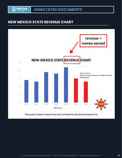<span id="page-3-0"></span>

## **NEW MEXICO STATE REVENUE CHART**



This graphic contains fictional data and is intended for educational purposes only.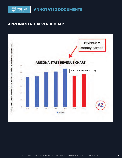<span id="page-4-0"></span>

## **ARIZONA STATE REVENUE CHART**

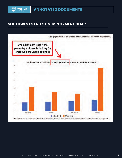## **SOUTHWEST STATES UNEMPLOYMENT CHART**

**ithrive** 

<span id="page-5-0"></span>▓

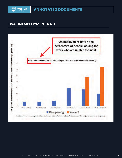<span id="page-6-0"></span>

## **USA UNEMPLOYMENT RATE**

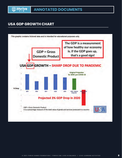## **USA GDP GROWTH CHART**

<span id="page-7-0"></span>**ithrive** 

This graphic contains fictional data and is intended for educational purposes only. The GDP is a measurement of how healthy our economy is. If the GDP goes up,  $GDP = Gross$ that's a good sign! **Domestic Product USA GDP GROWTH - SHARP DROP DUE TO PANDEMIC Original Projection** for 2020: pre-COVID-19 % Drop 2015 2016 2017 2018 2019 2020 - CDVID 2020 - Original Projection Projected 3% GDP Drop in 2020 **GDP = Gross Domestic Product** It is a percentage measure of the total value of goods and services produced in a country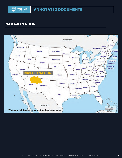## <span id="page-8-0"></span>**NAVAJO NATION**

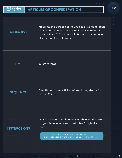<span id="page-9-0"></span>**Solithrive** 

PRE-SIM

| <b>OBJECTIVE</b>    | Articulate the purpose of the Articles of Confederation,<br>their shortcomings, and how their aims compare to<br>those of the U.S. Constitution in terms of the balance<br>of state and federal power. |
|---------------------|--------------------------------------------------------------------------------------------------------------------------------------------------------------------------------------------------------|
| <b>TIME</b>         | 20-30 minutes                                                                                                                                                                                          |
| <b>SEQUENCE</b>     | Offer this optional activity before playing iThrive Sim:<br>Lives in Balance.                                                                                                                          |
| <b>INSTRUCTIONS</b> | Have students complete the worksheet on the next<br>page, also available as an editable Google doc<br>here.<br>CLICK HERE TO ACCESS THE ARTICLES OF<br>CONFEDERATION WORKSHEET (GOOGLE DOC VERSION)    |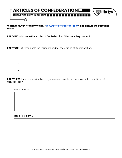

**Watch the Khan Academy video, "[The Articles of Confederation](https://www.youtube.com/watch?v=NfFRNgyQebE)" and answer the questions below.**

**PART ONE**: What were the Articles of Confederation? Why were they drafted?

**PART TWO**: List three goals the Founders had for the Articles of Confederation.

1. 2. 3.

∩

**PART THREE**: List and describe two major issues or problems that arose with the Articles of Confederation.

Issue / Problem 1:

Issue / Problem 2: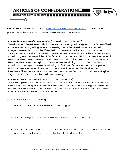## **ARTICLES OF CONFEDERATION! ITHRIVE SIM: LIVES IN BALANCE THE THEFT**

**PART FOUR:** Read this short article, ["The Constitution of the United States.](https://www.archives.gov/founding-docs/constitution.)" Then read the preambles to the Articles of Confederation and the U.S. Constitution.

#### **Preamble to Articles of Confederation** (Written in 1777, ratified 1781)

"To all to whom these Presents shall come, we the undersigned Delegates of the States affixed to our Names send greeting. Whereas the Delegates of the United States of America in Congress assembled did on the fifteenth day of November in the Year of our Lord One Thousand Seven Hundred and Seventy Seven, and in the Second Year of the Independence of America agree to certain articles of Confederation and perpetual Union between the States of New Hampshire, Massachusetts bay, Rhode Island and Providence Plantations, Connecticut, New York, New Jersey, Pennsylvania, Delaware, Maryland, Virginia, North Carolina, South Carolina and Georgia in the Words following, viz. "Articles of Confederation and perpetual Union between the States of New Hampshire, Massachusetts bay, Rhode Island and Providence Plantations, Connecticut, New York, New Jersey, Pennsylvania, Delaware, Maryland, Virginia, North Carolina, South Carolina and Georgia."

#### **Preamble to U.S. Constitution** (Written in 1787, ratified 1788)

"We the People of the United States, in Order to form a more perfect Union, establish Justice, insure domestic Tranquility, provide for the common defence, promote the general Welfare, and secure the Blessings of Liberty to ourselves and our Posterity, do ordain and establish this Constitution for the United States of America."

#### Answer at least two of the following:

- 1. How is the U.S. Constitution like a "colossal merger?"
- 2. What is the biggest difference you notice between the two preambles?
- 3. What words in the preamble to the U.S. Constitution let us know that this document is for one united country rather than a collection of individual states?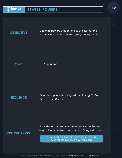<span id="page-12-0"></span>

| <b>Solithrive</b> |  |
|-------------------|--|
| SIM               |  |

## **STATES' POWERS**

PRE-SIM ACTIVITY

| <b>OBJECTIVE</b>    | Describe powers that belong to the states, and<br>identify institutions that exemplify those powers.                                                                                  |
|---------------------|---------------------------------------------------------------------------------------------------------------------------------------------------------------------------------------|
| <b>TIME</b>         | 15-20 minutes                                                                                                                                                                         |
| <b>SEQUENCE</b>     | Offer this optional activity before playing iThrive<br><b>Sim: Lives in Balance.</b>                                                                                                  |
| <b>INSTRUCTIONS</b> | Have students complete the worksheet on the next<br>page, also available as an editable Google doc here.<br>CLICK HERE TO ACCESS THE STATES' POWERS<br>WORKSHEET (GOOGLE DOC VERSION) |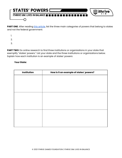

**PART ONE:** After reading [this article](https://www.pbs.org/tpt/constitution-usa-peter-sagal/federalism/state-powers/), list the three main categories of powers that belong to states and not the federal government:

- 1.
- 
- 2.
- 3.

**PART TWO:** Do online research to find three institutions or organizations in your state that exemplify "states' powers." List your state and the three institutions or organizations below. Explain how each institution is an example of states' powers:

#### **Your State:**

| <b>Institution</b> | How is it an example of states' powers? |
|--------------------|-----------------------------------------|
|                    |                                         |
|                    |                                         |
|                    |                                         |
|                    |                                         |
|                    |                                         |
|                    |                                         |
|                    |                                         |
|                    |                                         |
|                    |                                         |
|                    |                                         |
|                    |                                         |